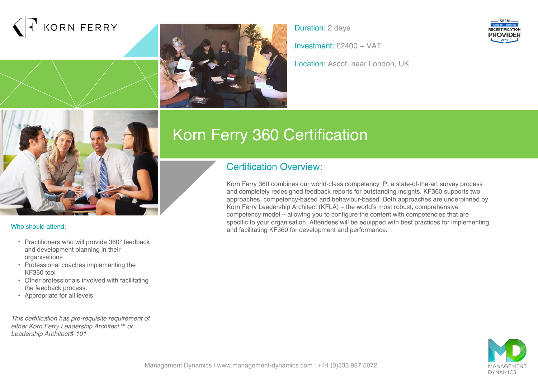



Duration: 2 days

Investment: £2400 + VAT

Location: Ascot, near London, UK





Who should attend:

- Practitioners who will provide 360° feedback and development planning in their organisations
- Professional coaches implementing the KF360 tool
- Other professionals involved with facilitating the feedback process.
- Appropriate for all levels

*This certification has pre-requisite requirement of either Korn Ferry Leadership Architect™ or Leadership Architect® 101*

# Korn Ferry 360 Certification

#### Certification Overview:

Korn Ferry 360 combines our world-class competency IP, a state-of-the-art survey process and completely redesigned feedback reports for outstanding insights. KF360 supports two approaches, competency-based and behaviour-based. Both approaches are underpinned by Korn Ferry Leadership Architect (KFLA) – the world's most robust, comprehensive competency model – allowing you to configure the content with competencies that are specific to your organisation. Attendees will be equipped with best practices for implementing and facilitating KF360 for development and performance.

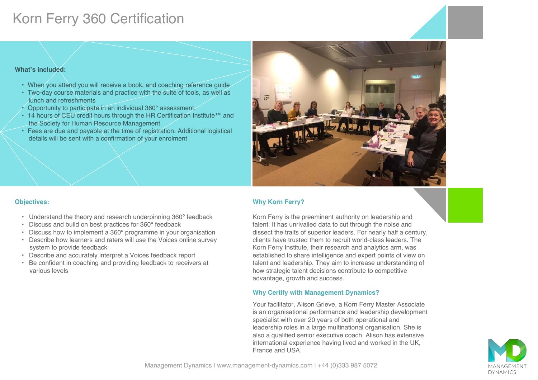### Korn Ferry 360 Certification

#### **What's included:**

- When you attend you will receive a book, and coaching reference quide.
- Two-day course materials and practice with the suite of tools, as well as lunch and refreshments
- Opportunity to participate in an individual 360° assessment.
- 14 hours of CEU credit hours through the HR Certification Institute™ and the Society for Human Resource Management
- Fees are due and payable at the time of registration. Additional logistical details will be sent with a confirmation of your enrolment



#### **Objectives:**

- Understand the theory and research underpinning 360º feedback
- Discuss and build on best practices for 360º feedback
- Discuss how to implement a 360º programme in your organisation
- Describe how learners and raters will use the Voices online survey system to provide feedback
- Describe and accurately interpret a Voices feedback report
- Be confident in coaching and providing feedback to receivers at various levels

#### **Why Korn Ferry?**

Korn Ferry is the preeminent authority on leadership and talent. It has unrivalled data to cut through the noise and dissect the traits of superior leaders. For nearly half a century, clients have trusted them to recruit world-class leaders. The Korn Ferry Institute, their research and analytics arm, was established to share intelligence and expert points of view on talent and leadership. They aim to increase understanding of how strategic talent decisions contribute to competitive advantage, growth and success.

#### **Why Certify with Management Dynamics?**

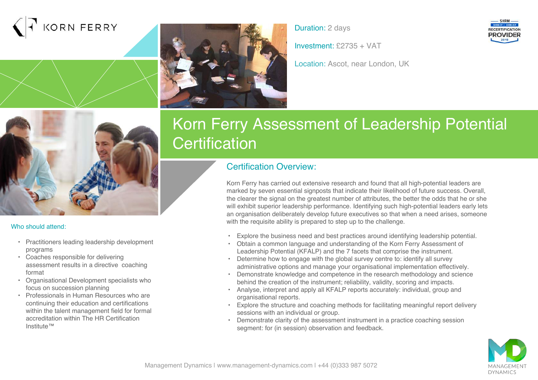# KORN FERRY



Duration: 2 days

Investment: £2735 + VAT

Location: Ascot, near London, UK





#### Who should attend:

- Practitioners leading leadership development programs
- Coaches responsible for delivering assessment results in a directive coaching format
- Organisational Development specialists who focus on succession planning
- Professionals in Human Resources who are continuing their education and certifications within the talent management field for formal accreditation within The HR Certification Institute™

## Korn Ferry Assessment of Leadership Potential **Certification**

#### Certification Overview:

Korn Ferry has carried out extensive research and found that all high-potential leaders are marked by seven essential signposts that indicate their likelihood of future success. Overall, the clearer the signal on the greatest number of attributes, the better the odds that he or she will exhibit superior leadership performance. Identifying such high-potential leaders early lets an organisation deliberately develop future executives so that when a need arises, someone with the requisite ability is prepared to step up to the challenge.

- Explore the business need and best practices around identifying leadership potential.
- Obtain a common language and understanding of the Korn Ferry Assessment of Leadership Potential (KFALP) and the 7 facets that comprise the instrument.
- Determine how to engage with the global survey centre to: identify all survey administrative options and manage your organisational implementation effectively.
- Demonstrate knowledge and competence in the research methodology and science behind the creation of the instrument; reliability, validity, scoring and impacts.
- Analyse, interpret and apply all KFALP reports accurately: individual, group and organisational reports.
- Explore the structure and coaching methods for facilitating meaningful report delivery sessions with an individual or group.
- Demonstrate clarity of the assessment instrument in a practice coaching session segment: for (in session) observation and feedback.

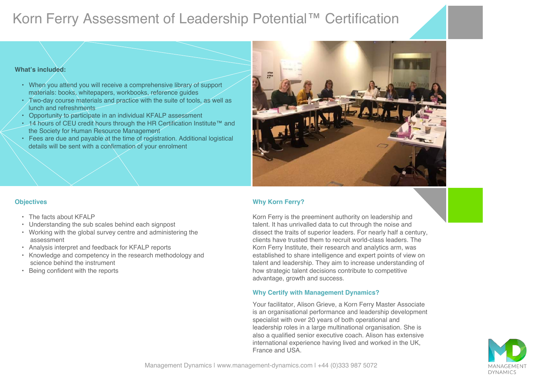## Korn Ferry Assessment of Leadership Potential™ Certification

#### **What's included:**

- When you attend you will receive a comprehensive library of support materials: books, whitepapers, workbooks, reference guides
- Two-day course materials and practice with the suite of tools, as well as lunch and refreshments
- Opportunity to participate in an individual KFALP assessment
- 14 hours of CEU credit hours through the HR Certification Institute™ and the Society for Human Resource Management
- Fees are due and payable at the time of registration. Additional logistical details will be sent with a confirmation of your enrolment



#### **Objectives**

- The facts about KFALP
- Understanding the sub scales behind each signpost
- Working with the global survey centre and administering the assessment
- Analysis interpret and feedback for KFALP reports
- Knowledge and competency in the research methodology and science behind the instrument
- Being confident with the reports

#### **Why Korn Ferry?**

Korn Ferry is the preeminent authority on leadership and talent. It has unrivalled data to cut through the noise and dissect the traits of superior leaders. For nearly half a century, clients have trusted them to recruit world-class leaders. The Korn Ferry Institute, their research and analytics arm, was established to share intelligence and expert points of view on talent and leadership. They aim to increase understanding of how strategic talent decisions contribute to competitive advantage, growth and success.

#### **Why Certify with Management Dynamics?**

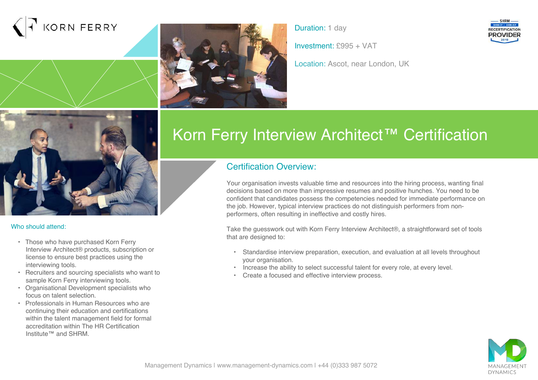# **KORN FERRY**



Duration: 1 day

Investment: £995 + VAT

Location: Ascot, near London, UK





#### Who should attend:

- Those who have purchased Korn Ferry Interview Architect® products, subscription or license to ensure best practices using the interviewing tools.
- Recruiters and sourcing specialists who want to sample Korn Ferry interviewing tools.
- Organisational Development specialists who focus on talent selection.
- Professionals in Human Resources who are continuing their education and certifications within the talent management field for formal accreditation within The HR Certification Institute™ and SHRM.

# Korn Ferry Interview Architect™ Certification

#### Certification Overview:

Your organisation invests valuable time and resources into the hiring process, wanting final decisions based on more than impressive resumes and positive hunches. You need to be confident that candidates possess the competencies needed for immediate performance on the job. However, typical interview practices do not distinguish performers from nonperformers, often resulting in ineffective and costly hires.

Take the guesswork out with Korn Ferry Interview Architect®, a straightforward set of tools that are designed to:

- Standardise interview preparation, execution, and evaluation at all levels throughout your organisation.
- Increase the ability to select successful talent for every role, at every level.
- Create a focused and effective interview process.

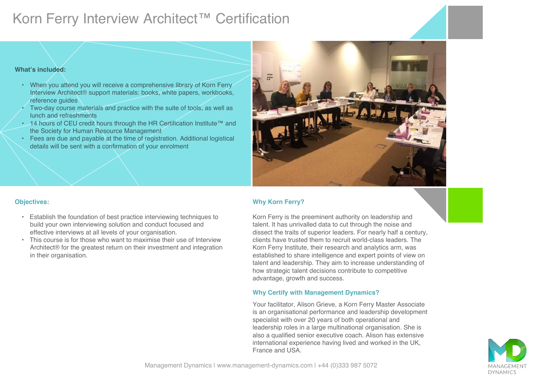### Korn Ferry Interview Architect™ Certification

#### **What's included:**

- When you attend you will receive a comprehensive library of Korn Ferry Interview Architect® support materials: books, white papers, workbooks, reference guides
- Two-day course materials and practice with the suite of tools, as well as lunch and refreshments
- 14 hours of CEU credit hours through the HR Certification Institute™ and the Society for Human Resource Management
- Fees are due and payable at the time of registration. Additional logistical details will be sent with a confirmation of your enrolment



#### **Objectives:**

- Establish the foundation of best practice interviewing techniques to build your own interviewing solution and conduct focused and effective interviews at all levels of your organisation.
- This course is for those who want to maximise their use of Interview Architect® for the greatest return on their investment and integration in their organisation.

#### **Why Korn Ferry?**

Korn Ferry is the preeminent authority on leadership and talent. It has unrivalled data to cut through the noise and dissect the traits of superior leaders. For nearly half a century, clients have trusted them to recruit world-class leaders. The Korn Ferry Institute, their research and analytics arm, was established to share intelligence and expert points of view on talent and leadership. They aim to increase understanding of how strategic talent decisions contribute to competitive advantage, growth and success.

#### **Why Certify with Management Dynamics?**

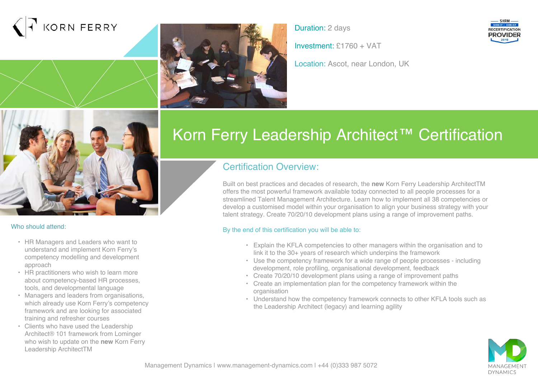# **KORN FERRY**



Duration: 2 days

Investment: £1760 + VAT

Location: Ascot, near London, UK





#### Who should attend:

- HR Managers and Leaders who want to understand and implement Korn Ferry's competency modelling and development approach
- HR practitioners who wish to learn more about competency-based HR processes, tools, and developmental language
- Managers and leaders from organisations, which already use Korn Ferry's competency framework and are looking for associated training and refresher courses
- Clients who have used the Leadership Architect® 101 framework from Lominger who wish to update on the **new** Korn Ferry Leadership ArchitectTM

# Korn Ferry Leadership Architect™ Certification

### Certification Overview:

Built on best practices and decades of research, the **new** Korn Ferry Leadership ArchitectTM offers the most powerful framework available today connected to all people processes for a streamlined Talent Management Architecture. Learn how to implement all 38 competencies or develop a customised model within your organisation to align your business strategy with your talent strategy. Create 70/20/10 development plans using a range of improvement paths.

#### By the end of this certification you will be able to:

- Explain the KFLA competencies to other managers within the organisation and to link it to the 30+ years of research which underpins the framework
- Use the competency framework for a wide range of people processes including development, role profiling, organisational development, feedback
- Create 70/20/10 development plans using a range of improvement paths
- Create an implementation plan for the competency framework within the organisation
- Understand how the competency framework connects to other KFLA tools such as the Leadership Architect (legacy) and learning agility

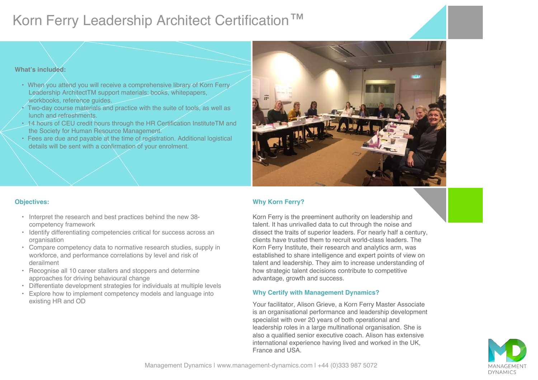### Korn Ferry Leadership Architect Certification<sup>™</sup>

#### **What's included:**

- When you attend you will receive a comprehensive library of Korn Ferry Leadership ArchitectTM support materials: books, whitepapers, workbooks, reference guides.
- Two-day course materials and practice with the suite of tools, as well as lunch and refreshments.
- 14 hours of CEU credit hours through the HR Certification InstituteTM and the Society for Human Resource Management.
- Fees are due and payable at the time of registration. Additional logistical details will be sent with a confirmation of your enrolment.



#### **Objectives:**

- Interpret the research and best practices behind the new 38 competency framework
- Identify differentiating competencies critical for success across an organisation
- Compare competency data to normative research studies, supply in workforce, and performance correlations by level and risk of derailment
- Recognise all 10 career stallers and stoppers and determine approaches for driving behavioural change
- Differentiate development strategies for individuals at multiple levels
- Explore how to implement competency models and language into existing HR and OD

#### **Why Korn Ferry?**

Korn Ferry is the preeminent authority on leadership and talent. It has unrivalled data to cut through the noise and dissect the traits of superior leaders. For nearly half a century, clients have trusted them to recruit world-class leaders. The Korn Ferry Institute, their research and analytics arm, was established to share intelligence and expert points of view on talent and leadership. They aim to increase understanding of how strategic talent decisions contribute to competitive advantage, growth and success.

#### **Why Certify with Management Dynamics?**

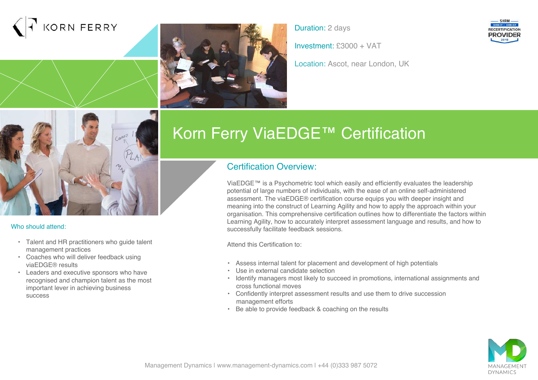



Duration: 2 days

Investment: £3000 + VAT

Location: Ascot, near London, UK





#### Who should attend:

- Talent and HR practitioners who guide talent management practices
- Coaches who will deliver feedback using viaEDGE® results
- Leaders and executive sponsors who have recognised and champion talent as the most important lever in achieving business **SUCCeSS**

## Korn Ferry ViaEDGE™ Certification

#### Certification Overview:

ViaEDGE™ is a Psychometric tool which easily and efficiently evaluates the leadership potential of large numbers of individuals, with the ease of an online self-administered assessment. The viaEDGE® certification course equips you with deeper insight and meaning into the construct of Learning Agility and how to apply the approach within your organisation. This comprehensive certification outlines how to differentiate the factors within Learning Agility, how to accurately interpret assessment language and results, and how to successfully facilitate feedback sessions.

Attend this Certification to:

- Assess internal talent for placement and development of high potentials
- Use in external candidate selection
- Identify managers most likely to succeed in promotions, international assignments and cross functional moves
- Confidently interpret assessment results and use them to drive succession management efforts
- Be able to provide feedback & coaching on the results